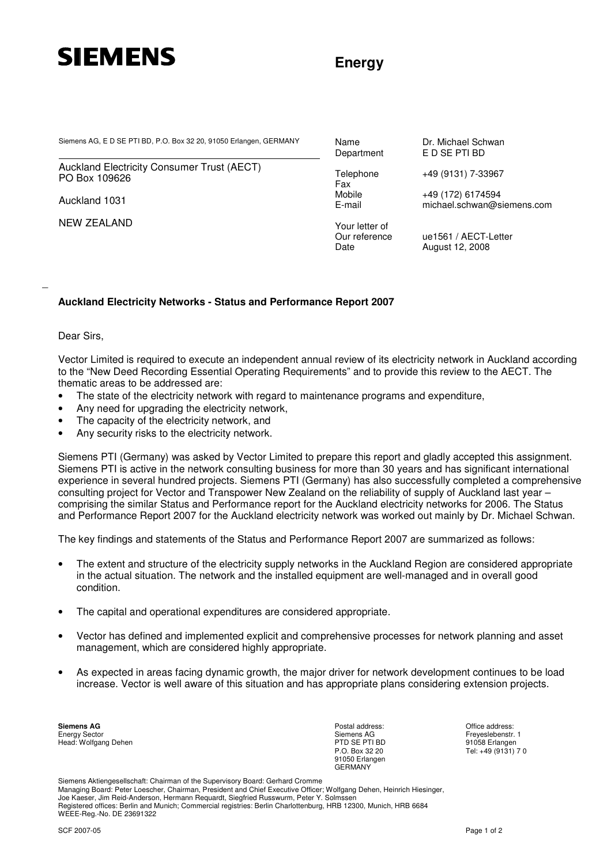

## **Energy**

Siemens AG, E D SE PTI BD, P.O. Box 32 20, 91050 Erlangen, GERMANY Name Department Dr. Michael Schwan Department E D SE PTI BD

Auckland Electricity Consumer Trust (AECT) PO Box 109626

Auckland 1031

NEW ZEALAND

Fax<br>Mobile

Your letter of

E D SE PTI BD

Telephone +49 (9131) 7-33967

Mobile +49 (172) 6174594<br>E-mail michael.schwan@s michael.schwan@siemens.com

Our reference ue1561 / AECT-Letter Date **August 12, 2008** 

## **Auckland Electricity Networks - Status and Performance Report 2007**

Dear Sirs,

\_

Vector Limited is required to execute an independent annual review of its electricity network in Auckland according to the "New Deed Recording Essential Operating Requirements" and to provide this review to the AECT. The thematic areas to be addressed are:

- The state of the electricity network with regard to maintenance programs and expenditure,
- Any need for upgrading the electricity network,
- The capacity of the electricity network, and
- Any security risks to the electricity network.

Siemens PTI (Germany) was asked by Vector Limited to prepare this report and gladly accepted this assignment. Siemens PTI is active in the network consulting business for more than 30 years and has significant international experience in several hundred projects. Siemens PTI (Germany) has also successfully completed a comprehensive consulting project for Vector and Transpower New Zealand on the reliability of supply of Auckland last year – comprising the similar Status and Performance report for the Auckland electricity networks for 2006. The Status and Performance Report 2007 for the Auckland electricity network was worked out mainly by Dr. Michael Schwan.

The key findings and statements of the Status and Performance Report 2007 are summarized as follows:

- The extent and structure of the electricity supply networks in the Auckland Region are considered appropriate in the actual situation. The network and the installed equipment are well-managed and in overall good condition.
- The capital and operational expenditures are considered appropriate.
- Vector has defined and implemented explicit and comprehensive processes for network planning and asset management, which are considered highly appropriate.
- As expected in areas facing dynamic growth, the major driver for network development continues to be load increase. Vector is well aware of this situation and has appropriate plans considering extension projects.

**Siemens AG** Energy Sector Head: Wolfgang Dehen Postal address: Siemens AG PTD SE PTI BD P.O. Box 32 20 91050 Erlangen GERMANY

Office address: Freyeslebenstr. 1 91058 Erlangen Tel: +49 (9131) 7 0

Siemens Aktiengesellschaft: Chairman of the Supervisory Board: Gerhard Cromme Managing Board: Peter Loescher, Chairman, President and Chief Executive Officer; Wolfgang Dehen, Heinrich Hiesinger, Joe Kaeser, Jim Reid-Anderson, Hermann Requardt, Siegfried Russwurm, Peter Y. Solmssen Registered offices: Berlin and Munich; Commercial registries: Berlin Charlottenburg, HRB 12300, Munich, HRB 6684 WEEE-Reg.-No. DE 23691322